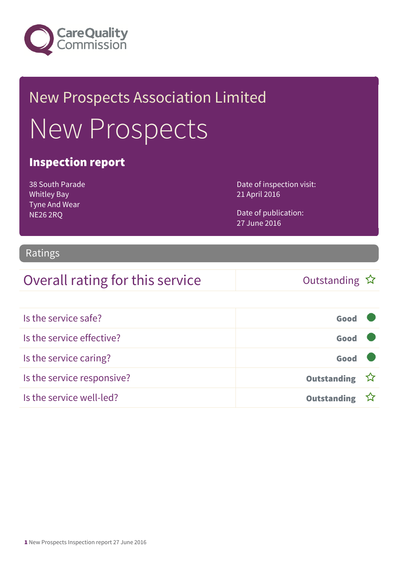

## New Prospects Association Limited New Prospects

#### Inspection report

38 South Parade Whitley Bay Tyne And Wear NE26 2RQ

Date of inspection visit: 21 April 2016

Date of publication: 27 June 2016

#### Ratings

#### Overall rating for this service  $\bigcup$  Outstanding  $\hat{x}$

| Is the service safe?       | Good               |  |
|----------------------------|--------------------|--|
| Is the service effective?  | Good               |  |
| Is the service caring?     | Good               |  |
| Is the service responsive? | Outstanding ☆      |  |
| Is the service well-led?   | <b>Outstanding</b> |  |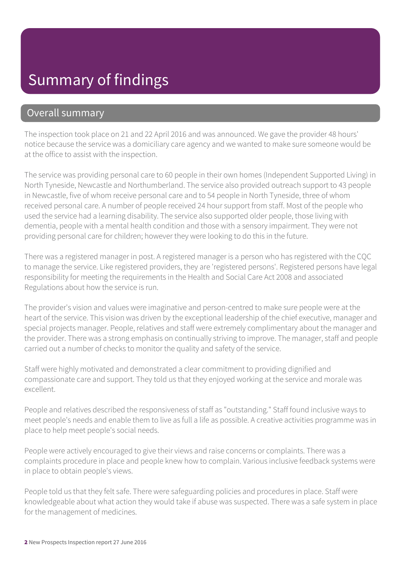### Summary of findings

#### Overall summary

The inspection took place on 21 and 22 April 2016 and was announced. We gave the provider 48 hours' notice because the service was a domiciliary care agency and we wanted to make sure someone would be at the office to assist with the inspection.

The service was providing personal care to 60 people in their own homes (Independent Supported Living) in North Tyneside, Newcastle and Northumberland. The service also provided outreach support to 43 people in Newcastle, five of whom receive personal care and to 54 people in North Tyneside, three of whom received personal care. A number of people received 24 hour support from staff. Most of the people who used the service had a learning disability. The service also supported older people, those living with dementia, people with a mental health condition and those with a sensory impairment. They were not providing personal care for children; however they were looking to do this in the future.

There was a registered manager in post. A registered manager is a person who has registered with the CQC to manage the service. Like registered providers, they are 'registered persons'. Registered persons have legal responsibility for meeting the requirements in the Health and Social Care Act 2008 and associated Regulations about how the service is run.

The provider's vision and values were imaginative and person-centred to make sure people were at the heart of the service. This vision was driven by the exceptional leadership of the chief executive, manager and special projects manager. People, relatives and staff were extremely complimentary about the manager and the provider. There was a strong emphasis on continually striving to improve. The manager, staff and people carried out a number of checks to monitor the quality and safety of the service.

Staff were highly motivated and demonstrated a clear commitment to providing dignified and compassionate care and support. They told us that they enjoyed working at the service and morale was excellent.

People and relatives described the responsiveness of staff as "outstanding." Staff found inclusive ways to meet people's needs and enable them to live as full a life as possible. A creative activities programme was in place to help meet people's social needs.

People were actively encouraged to give their views and raise concerns or complaints. There was a complaints procedure in place and people knew how to complain. Various inclusive feedback systems were in place to obtain people's views.

People told us that they felt safe. There were safeguarding policies and procedures in place. Staff were knowledgeable about what action they would take if abuse was suspected. There was a safe system in place for the management of medicines.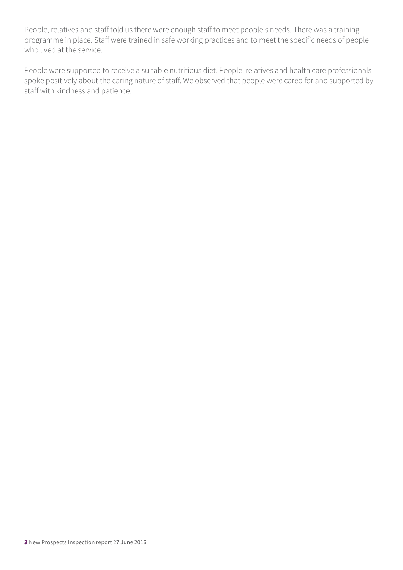People, relatives and staff told us there were enough staff to meet people's needs. There was a training programme in place. Staff were trained in safe working practices and to meet the specific needs of people who lived at the service.

People were supported to receive a suitable nutritious diet. People, relatives and health care professionals spoke positively about the caring nature of staff. We observed that people were cared for and supported by staff with kindness and patience.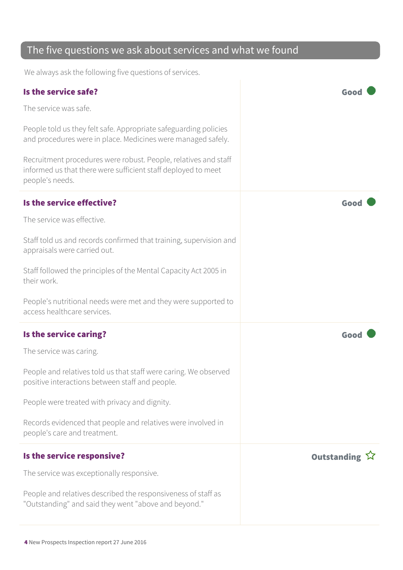#### The five questions we ask about services and what we found

We always ask the following five questions of services.

| Is the service safe?                                                                                                                                | Good          |
|-----------------------------------------------------------------------------------------------------------------------------------------------------|---------------|
| The service was safe.                                                                                                                               |               |
| People told us they felt safe. Appropriate safeguarding policies<br>and procedures were in place. Medicines were managed safely.                    |               |
| Recruitment procedures were robust. People, relatives and staff<br>informed us that there were sufficient staff deployed to meet<br>people's needs. |               |
| Is the service effective?                                                                                                                           | Good          |
| The service was effective.                                                                                                                          |               |
| Staff told us and records confirmed that training, supervision and<br>appraisals were carried out.                                                  |               |
| Staff followed the principles of the Mental Capacity Act 2005 in<br>their work.                                                                     |               |
| People's nutritional needs were met and they were supported to<br>access healthcare services.                                                       |               |
| Is the service caring?                                                                                                                              | Good          |
| The service was caring.                                                                                                                             |               |
| People and relatives told us that staff were caring. We observed<br>positive interactions between staff and people.                                 |               |
| People were treated with privacy and dignity.                                                                                                       |               |
| Records evidenced that people and relatives were involved in<br>people's care and treatment.                                                        |               |
| Is the service responsive?                                                                                                                          | Outstanding ☆ |
| The service was exceptionally responsive.                                                                                                           |               |
| People and relatives described the responsiveness of staff as<br>"Outstanding" and said they went "above and beyond."                               |               |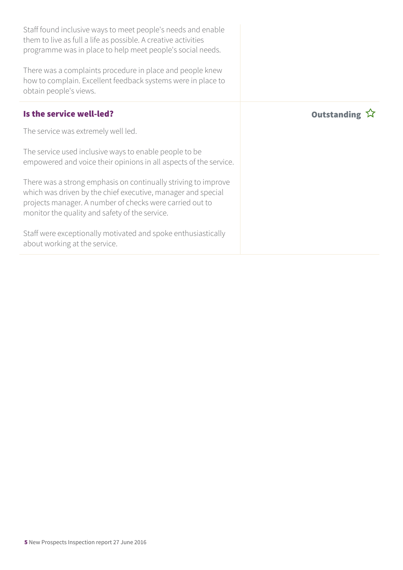| Staff found inclusive ways to meet people's needs and enable<br>them to live as full a life as possible. A creative activities<br>programme was in place to help meet people's social needs.                                                 |                    |
|----------------------------------------------------------------------------------------------------------------------------------------------------------------------------------------------------------------------------------------------|--------------------|
| There was a complaints procedure in place and people knew<br>how to complain. Excellent feedback systems were in place to<br>obtain people's views.                                                                                          |                    |
| Is the service well-led?                                                                                                                                                                                                                     | <b>Outstanding</b> |
| The service was extremely well led.                                                                                                                                                                                                          |                    |
| The service used inclusive ways to enable people to be<br>empowered and voice their opinions in all aspects of the service.                                                                                                                  |                    |
| There was a strong emphasis on continually striving to improve<br>which was driven by the chief executive, manager and special<br>projects manager. A number of checks were carried out to<br>monitor the quality and safety of the service. |                    |
| Staff were exceptionally motivated and spoke enthusiastically<br>about working at the service.                                                                                                                                               |                    |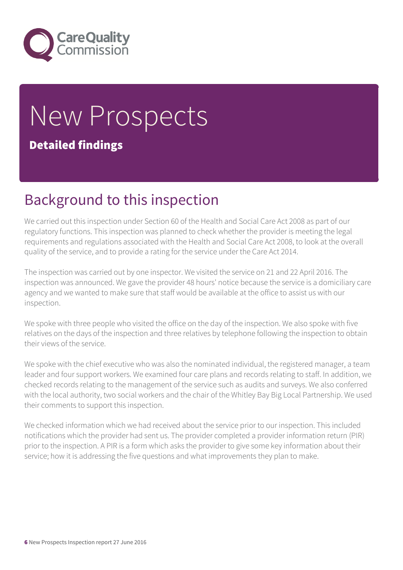

# New Prospects

#### Detailed findings

### Background to this inspection

We carried out this inspection under Section 60 of the Health and Social Care Act 2008 as part of our regulatory functions. This inspection was planned to check whether the provider is meeting the legal requirements and regulations associated with the Health and Social Care Act 2008, to look at the overall quality of the service, and to provide a rating for the service under the Care Act 2014.

The inspection was carried out by one inspector. We visited the service on 21 and 22 April 2016. The inspection was announced. We gave the provider 48 hours' notice because the service is a domiciliary care agency and we wanted to make sure that staff would be available at the office to assist us with our inspection.

We spoke with three people who visited the office on the day of the inspection. We also spoke with five relatives on the days of the inspection and three relatives by telephone following the inspection to obtain their views of the service.

We spoke with the chief executive who was also the nominated individual, the registered manager, a team leader and four support workers. We examined four care plans and records relating to staff. In addition, we checked records relating to the management of the service such as audits and surveys. We also conferred with the local authority, two social workers and the chair of the Whitley Bay Big Local Partnership. We used their comments to support this inspection.

We checked information which we had received about the service prior to our inspection. This included notifications which the provider had sent us. The provider completed a provider information return (PIR) prior to the inspection. A PIR is a form which asks the provider to give some key information about their service; how it is addressing the five questions and what improvements they plan to make.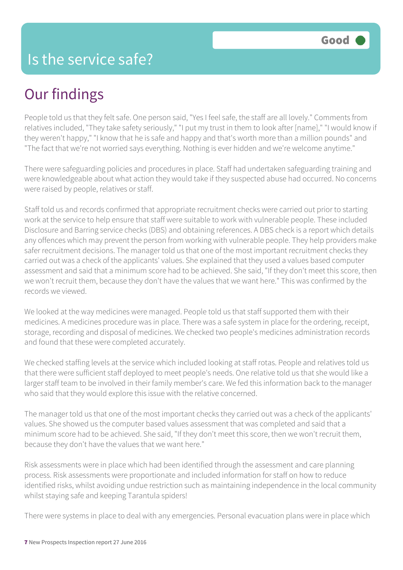## Our findings

People told us that they felt safe. One person said, "Yes I feel safe, the staff are all lovely." Comments from relatives included, "They take safety seriously," "I put my trust in them to look after [name]," "I would know if they weren't happy," "I know that he is safe and happy and that's worth more than a million pounds" and "The fact that we're not worried says everything. Nothing is ever hidden and we're welcome anytime."

There were safeguarding policies and procedures in place. Staff had undertaken safeguarding training and were knowledgeable about what action they would take if they suspected abuse had occurred. No concerns were raised by people, relatives or staff.

Staff told us and records confirmed that appropriate recruitment checks were carried out prior to starting work at the service to help ensure that staff were suitable to work with vulnerable people. These included Disclosure and Barring service checks (DBS) and obtaining references. A DBS check is a report which details any offences which may prevent the person from working with vulnerable people. They help providers make safer recruitment decisions. The manager told us that one of the most important recruitment checks they carried out was a check of the applicants' values. She explained that they used a values based computer assessment and said that a minimum score had to be achieved. She said, "If they don't meet this score, then we won't recruit them, because they don't have the values that we want here." This was confirmed by the records we viewed.

We looked at the way medicines were managed. People told us that staff supported them with their medicines. A medicines procedure was in place. There was a safe system in place for the ordering, receipt, storage, recording and disposal of medicines. We checked two people's medicines administration records and found that these were completed accurately.

We checked staffing levels at the service which included looking at staff rotas. People and relatives told us that there were sufficient staff deployed to meet people's needs. One relative told us that she would like a larger staff team to be involved in their family member's care. We fed this information back to the manager who said that they would explore this issue with the relative concerned.

The manager told us that one of the most important checks they carried out was a check of the applicants' values. She showed us the computer based values assessment that was completed and said that a minimum score had to be achieved. She said, "If they don't meet this score, then we won't recruit them, because they don't have the values that we want here."

Risk assessments were in place which had been identified through the assessment and care planning process. Risk assessments were proportionate and included information for staff on how to reduce identified risks, whilst avoiding undue restriction such as maintaining independence in the local community whilst staying safe and keeping Tarantula spiders!

There were systems in place to deal with any emergencies. Personal evacuation plans were in place which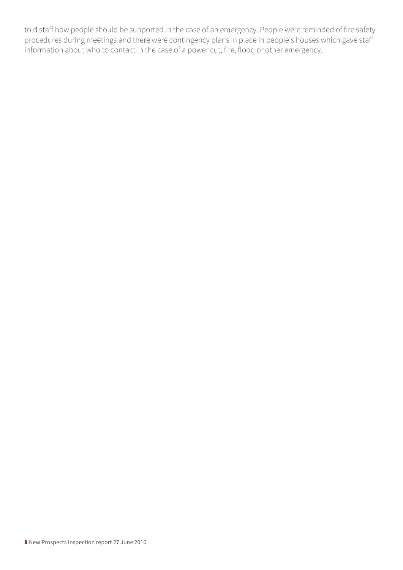told staff how people should be supported in the case of an emergency. People were reminded of fire safety procedures during meetings and there were contingency plans in place in people's houses which gave staff information about who to contact in the case of a power cut, fire, flood or other emergency.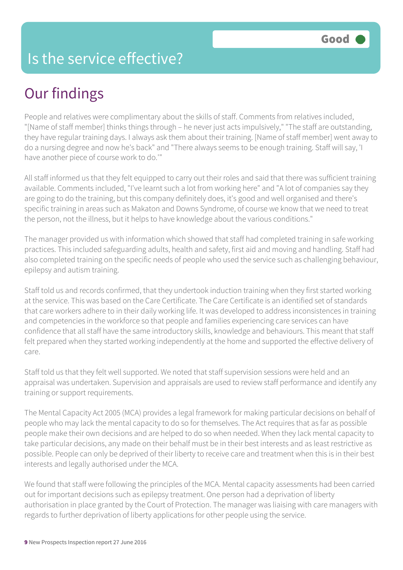#### Is the service effective?

## Our findings

People and relatives were complimentary about the skills of staff. Comments from relatives included, "[Name of staff member] thinks things through – he never just acts impulsively," "The staff are outstanding, they have regular training days. I always ask them about their training. [Name of staff member] went away to do a nursing degree and now he's back" and "There always seems to be enough training. Staff will say, 'I have another piece of course work to do.'"

All staff informed us that they felt equipped to carry out their roles and said that there was sufficient training available. Comments included, "I've learnt such a lot from working here" and "A lot of companies say they are going to do the training, but this company definitely does, it's good and well organised and there's specific training in areas such as Makaton and Downs Syndrome, of course we know that we need to treat the person, not the illness, but it helps to have knowledge about the various conditions."

The manager provided us with information which showed that staff had completed training in safe working practices. This included safeguarding adults, health and safety, first aid and moving and handling. Staff had also completed training on the specific needs of people who used the service such as challenging behaviour, epilepsy and autism training.

Staff told us and records confirmed, that they undertook induction training when they first started working at the service. This was based on the Care Certificate. The Care Certificate is an identified set of standards that care workers adhere to in their daily working life. It was developed to address inconsistences in training and competencies in the workforce so that people and families experiencing care services can have confidence that all staff have the same introductory skills, knowledge and behaviours. This meant that staff felt prepared when they started working independently at the home and supported the effective delivery of care.

Staff told us that they felt well supported. We noted that staff supervision sessions were held and an appraisal was undertaken. Supervision and appraisals are used to review staff performance and identify any training or support requirements.

The Mental Capacity Act 2005 (MCA) provides a legal framework for making particular decisions on behalf of people who may lack the mental capacity to do so for themselves. The Act requires that as far as possible people make their own decisions and are helped to do so when needed. When they lack mental capacity to take particular decisions, any made on their behalf must be in their best interests and as least restrictive as possible. People can only be deprived of their liberty to receive care and treatment when this is in their best interests and legally authorised under the MCA.

We found that staff were following the principles of the MCA. Mental capacity assessments had been carried out for important decisions such as epilepsy treatment. One person had a deprivation of liberty authorisation in place granted by the Court of Protection. The manager was liaising with care managers with regards to further deprivation of liberty applications for other people using the service.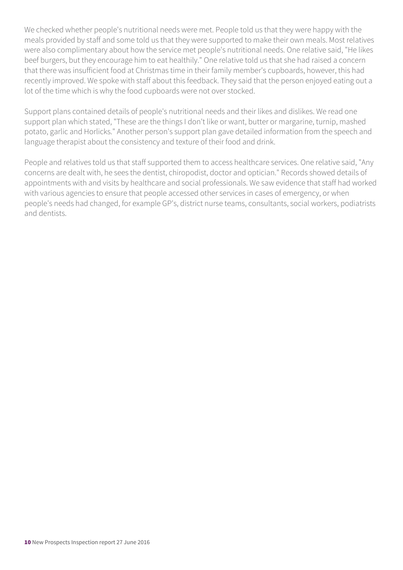We checked whether people's nutritional needs were met. People told us that they were happy with the meals provided by staff and some told us that they were supported to make their own meals. Most relatives were also complimentary about how the service met people's nutritional needs. One relative said, "He likes beef burgers, but they encourage him to eat healthily." One relative told us that she had raised a concern that there was insufficient food at Christmas time in their family member's cupboards, however, this had recently improved. We spoke with staff about this feedback. They said that the person enjoyed eating out a lot of the time which is why the food cupboards were not over stocked.

Support plans contained details of people's nutritional needs and their likes and dislikes. We read one support plan which stated, "These are the things I don't like or want, butter or margarine, turnip, mashed potato, garlic and Horlicks." Another person's support plan gave detailed information from the speech and language therapist about the consistency and texture of their food and drink.

People and relatives told us that staff supported them to access healthcare services. One relative said, "Any concerns are dealt with, he sees the dentist, chiropodist, doctor and optician." Records showed details of appointments with and visits by healthcare and social professionals. We saw evidence that staff had worked with various agencies to ensure that people accessed other services in cases of emergency, or when people's needs had changed, for example GP's, district nurse teams, consultants, social workers, podiatrists and dentists.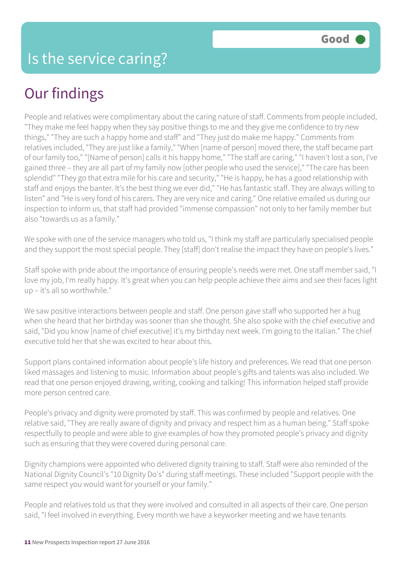## Our findings

People and relatives were complimentary about the caring nature of staff. Comments from people included, "They make me feel happy when they say positive things to me and they give me confidence to try new things," "They are such a happy home and staff" and "They just do make me happy." Comments from relatives included, "They are just like a family," "When [name of person] moved there, the staff became part of our family too," "[Name of person] calls it his happy home," "The staff are caring," "I haven't lost a son, I've gained three – they are all part of my family now [other people who used the service]," "The care has been splendid" "They go that extra mile for his care and security," "He is happy, he has a good relationship with staff and enjoys the banter. It's the best thing we ever did," "He has fantastic staff. They are always willing to listen" and "He is very fond of his carers. They are very nice and caring." One relative emailed us during our inspection to inform us, that staff had provided "immense compassion" not only to her family member but also "towards us as a family."

We spoke with one of the service managers who told us, "I think my staff are particularly specialised people and they support the most special people. They [staff] don't realise the impact they have on people's lives."

Staff spoke with pride about the importance of ensuring people's needs were met. One staff member said, "I love my job, I'm really happy. It's great when you can help people achieve their aims and see their faces light up – it's all so worthwhile."

We saw positive interactions between people and staff. One person gave staff who supported her a hug when she heard that her birthday was sooner than she thought. She also spoke with the chief executive and said, "Did you know [name of chief executive] it's my birthday next week. I'm going to the Italian." The chief executive told her that she was excited to hear about this.

Support plans contained information about people's life history and preferences. We read that one person liked massages and listening to music. Information about people's gifts and talents was also included. We read that one person enjoyed drawing, writing, cooking and talking! This information helped staff provide more person centred care.

People's privacy and dignity were promoted by staff. This was confirmed by people and relatives. One relative said, "They are really aware of dignity and privacy and respect him as a human being." Staff spoke respectfully to people and were able to give examples of how they promoted people's privacy and dignity such as ensuring that they were covered during personal care.

Dignity champions were appointed who delivered dignity training to staff. Staff were also reminded of the National Dignity Council's "10 Dignity Do's" during staff meetings. These included "Support people with the same respect you would want for yourself or your family."

People and relatives told us that they were involved and consulted in all aspects of their care. One person said, "I feel involved in everything. Every month we have a keyworker meeting and we have tenants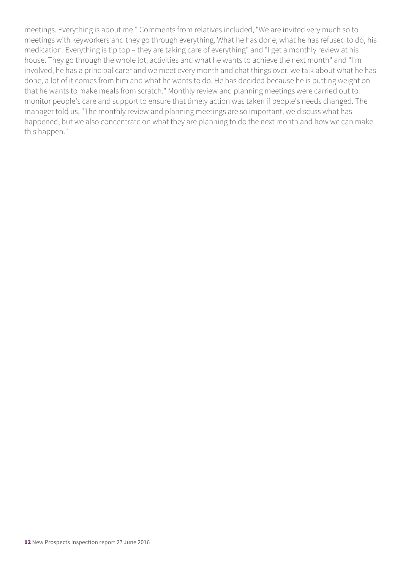meetings. Everything is about me." Comments from relatives included, "We are invited very much so to meetings with keyworkers and they go through everything. What he has done, what he has refused to do, his medication. Everything is tip top – they are taking care of everything" and "I get a monthly review at his house. They go through the whole lot, activities and what he wants to achieve the next month" and "I'm involved, he has a principal carer and we meet every month and chat things over, we talk about what he has done, a lot of it comes from him and what he wants to do. He has decided because he is putting weight on that he wants to make meals from scratch." Monthly review and planning meetings were carried out to monitor people's care and support to ensure that timely action was taken if people's needs changed. The manager told us, "The monthly review and planning meetings are so important, we discuss what has happened, but we also concentrate on what they are planning to do the next month and how we can make this happen."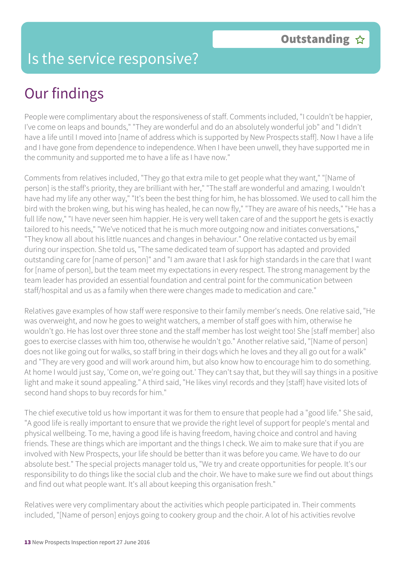#### Is the service responsive?

## Our findings

People were complimentary about the responsiveness of staff. Comments included, "I couldn't be happier, I've come on leaps and bounds," "They are wonderful and do an absolutely wonderful job" and "I didn't have a life until I moved into [name of address which is supported by New Prospects staff]. Now I have a life and I have gone from dependence to independence. When I have been unwell, they have supported me in the community and supported me to have a life as I have now."

Comments from relatives included, "They go that extra mile to get people what they want," "[Name of person] is the staff's priority, they are brilliant with her," "The staff are wonderful and amazing. I wouldn't have had my life any other way," "It's been the best thing for him, he has blossomed. We used to call him the bird with the broken wing, but his wing has healed, he can now fly," "They are aware of his needs," "He has a full life now," "I have never seen him happier. He is very well taken care of and the support he gets is exactly tailored to his needs," "We've noticed that he is much more outgoing now and initiates conversations," "They know all about his little nuances and changes in behaviour." One relative contacted us by email during our inspection. She told us, "The same dedicated team of support has adapted and provided outstanding care for [name of person]" and "I am aware that I ask for high standards in the care that I want for [name of person], but the team meet my expectations in every respect. The strong management by the team leader has provided an essential foundation and central point for the communication between staff/hospital and us as a family when there were changes made to medication and care."

Relatives gave examples of how staff were responsive to their family member's needs. One relative said, "He was overweight, and now he goes to weight watchers, a member of staff goes with him, otherwise he wouldn't go. He has lost over three stone and the staff member has lost weight too! She [staff member] also goes to exercise classes with him too, otherwise he wouldn't go." Another relative said, "[Name of person] does not like going out for walks, so staff bring in their dogs which he loves and they all go out for a walk" and "They are very good and will work around him, but also know how to encourage him to do something. At home I would just say, 'Come on, we're going out.' They can't say that, but they will say things in a positive light and make it sound appealing." A third said, "He likes vinyl records and they [staff] have visited lots of second hand shops to buy records for him."

The chief executive told us how important it was for them to ensure that people had a "good life." She said, "A good life is really important to ensure that we provide the right level of support for people's mental and physical wellbeing. To me, having a good life is having freedom, having choice and control and having friends. These are things which are important and the things I check. We aim to make sure that if you are involved with New Prospects, your life should be better than it was before you came. We have to do our absolute best." The special projects manager told us, "We try and create opportunities for people. It's our responsibility to do things like the social club and the choir. We have to make sure we find out about things and find out what people want. It's all about keeping this organisation fresh."

Relatives were very complimentary about the activities which people participated in. Their comments included, "[Name of person] enjoys going to cookery group and the choir. A lot of his activities revolve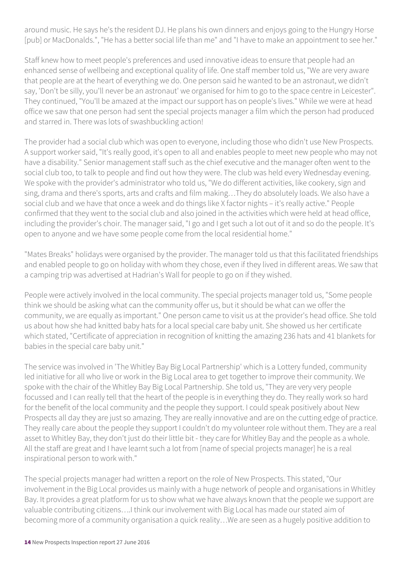around music. He says he's the resident DJ. He plans his own dinners and enjoys going to the Hungry Horse [pub] or MacDonalds.", "He has a better social life than me" and "I have to make an appointment to see her."

Staff knew how to meet people's preferences and used innovative ideas to ensure that people had an enhanced sense of wellbeing and exceptional quality of life. One staff member told us, "We are very aware that people are at the heart of everything we do. One person said he wanted to be an astronaut, we didn't say, 'Don't be silly, you'll never be an astronaut' we organised for him to go to the space centre in Leicester". They continued, "You'll be amazed at the impact our support has on people's lives." While we were at head office we saw that one person had sent the special projects manager a film which the person had produced and starred in. There was lots of swashbuckling action!

The provider had a social club which was open to everyone, including those who didn't use New Prospects. A support worker said, "It's really good, it's open to all and enables people to meet new people who may not have a disability." Senior management staff such as the chief executive and the manager often went to the social club too, to talk to people and find out how they were. The club was held every Wednesday evening. We spoke with the provider's administrator who told us, "We do different activities, like cookery, sign and sing, drama and there's sports, arts and crafts and film making…They do absolutely loads. We also have a social club and we have that once a week and do things like X factor nights – it's really active." People confirmed that they went to the social club and also joined in the activities which were held at head office, including the provider's choir. The manager said, "I go and I get such a lot out of it and so do the people. It's open to anyone and we have some people come from the local residential home."

"Mates Breaks" holidays were organised by the provider. The manager told us that this facilitated friendships and enabled people to go on holiday with whom they chose, even if they lived in different areas. We saw that a camping trip was advertised at Hadrian's Wall for people to go on if they wished.

People were actively involved in the local community. The special projects manager told us, "Some people think we should be asking what can the community offer us, but it should be what can we offer the community, we are equally as important." One person came to visit us at the provider's head office. She told us about how she had knitted baby hats for a local special care baby unit. She showed us her certificate which stated, "Certificate of appreciation in recognition of knitting the amazing 236 hats and 41 blankets for babies in the special care baby unit."

The service was involved in 'The Whitley Bay Big Local Partnership' which is a Lottery funded, community led initiative for all who live or work in the Big Local area to get together to improve their community. We spoke with the chair of the Whitley Bay Big Local Partnership. She told us, "They are very very people focussed and I can really tell that the heart of the people is in everything they do. They really work so hard for the benefit of the local community and the people they support. I could speak positively about New Prospects all day they are just so amazing. They are really innovative and are on the cutting edge of practice. They really care about the people they support I couldn't do my volunteer role without them. They are a real asset to Whitley Bay, they don't just do their little bit - they care for Whitley Bay and the people as a whole. All the staff are great and I have learnt such a lot from [name of special projects manager] he is a real inspirational person to work with."

The special projects manager had written a report on the role of New Prospects. This stated, "Our involvement in the Big Local provides us mainly with a huge network of people and organisations in Whitley Bay. It provides a great platform for us to show what we have always known that the people we support are valuable contributing citizens….I think our involvement with Big Local has made our stated aim of becoming more of a community organisation a quick reality…We are seen as a hugely positive addition to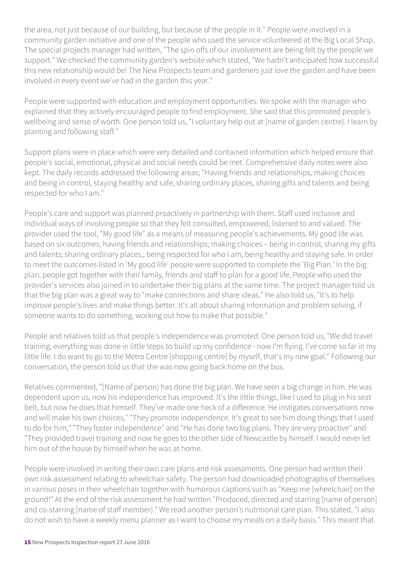the area, not just because of our building, but because of the people in it." People were involved in a community garden initiative and one of the people who used the service volunteered at the Big Local Shop. The special projects manager had written, "The spin offs of our involvement are being felt by the people we support." We checked the community garden's website which stated, "We hadn't anticipated how successful this new relationship would be! The New Prospects team and gardeners just love the garden and have been involved in every event we've had in the garden this year."

People were supported with education and employment opportunities. We spoke with the manager who explained that they actively encouraged people to find employment. She said that this promoted people's wellbeing and sense of worth. One person told us, "I voluntary help out at [name of garden centre]. I learn by planting and following staff."

Support plans were in place which were very detailed and contained information which helped ensure that people's social, emotional, physical and social needs could be met. Comprehensive daily notes were also kept. The daily records addressed the following areas; "Having friends and relationships, making choices and being in control, staying healthy and safe, sharing ordinary places, sharing gifts and talents and being respected for who I am."

People's care and support was planned proactively in partnership with them. Staff used inclusive and individual ways of involving people so that they felt consulted, empowered, listened to and valued. The provider used the tool, "My good life" as a means of measuring people's achievements. My good life was based on six outcomes; having friends and relationships; making choices – being in control; sharing my gifts and talents; sharing ordinary places,; being respected for who I am, being healthy and staying safe. In order to meet the outcomes listed in 'My good life' people were supported to complete the 'Big Plan.' In the big plan, people got together with their family, friends and staff to plan for a good life. People who used the provider's services also joined in to undertake their big plans at the same time. The project manager told us that the big plan was a great way to "make connections and share ideas." He also told us, "It's to help improve people's lives and make things better. It's all about sharing information and problem solving, if someone wants to do something, working out how to make that possible."

People and relatives told us that people's independence was promoted. One person told us, "We did travel training; everything was done in little steps to build up my confidence - now I'm flying. I've come so far in my little life. I do want to go to the Metro Centre [shopping centre] by myself, that's my new goal." Following our conversation, the person told us that she was now going back home on the bus.

Relatives commented, "[Name of person] has done the big plan. We have seen a big change in him. He was dependent upon us, now his independence has improved. It's the little things, like I used to plug in his seat belt, but now he does that himself. They've made one heck of a difference. He instigates conversations now and will make his own choices," "They promote independence. It's great to see him doing things that I used to do for him," "They foster independence" and "He has done two big plans. They are very proactive" and "They provided travel training and now he goes to the other side of Newcastle by himself. I would never let him out of the house by himself when he was at home.

People were involved in writing their own care plans and risk assessments. One person had written their own risk assessment relating to wheelchair safety. The person had downloaded photographs of themselves in various poses in their wheelchair together with humorous captions such as "Keep me [wheelchair] on the ground!" At the end of the risk assessment he had written "Produced, directed and starring [name of person] and co-starring [name of staff member]." We read another person's nutritional care plan. This stated, "I also do not wish to have a weekly menu planner as I want to choose my meals on a daily basis." This meant that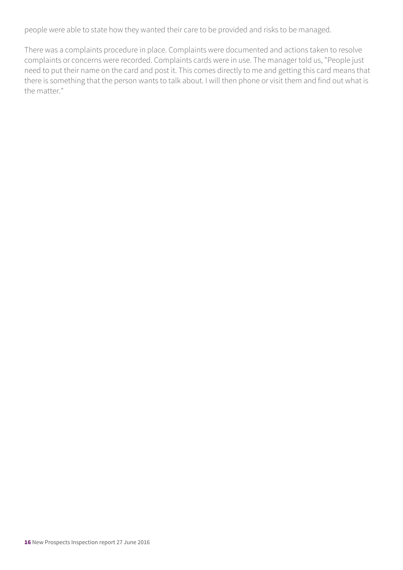people were able to state how they wanted their care to be provided and risks to be managed.

There was a complaints procedure in place. Complaints were documented and actions taken to resolve complaints or concerns were recorded. Complaints cards were in use. The manager told us, "People just need to put their name on the card and post it. This comes directly to me and getting this card means that there is something that the person wants to talk about. I will then phone or visit them and find out what is the matter."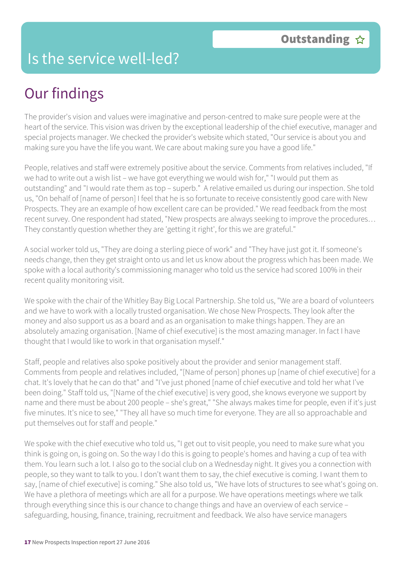#### Is the service well-led?

## Our findings

The provider's vision and values were imaginative and person-centred to make sure people were at the heart of the service. This vision was driven by the exceptional leadership of the chief executive, manager and special projects manager. We checked the provider's website which stated, "Our service is about you and making sure you have the life you want. We care about making sure you have a good life."

People, relatives and staff were extremely positive about the service. Comments from relatives included, "If we had to write out a wish list – we have got everything we would wish for," "I would put them as outstanding" and "I would rate them as top – superb." A relative emailed us during our inspection. She told us, "On behalf of [name of person] I feel that he is so fortunate to receive consistently good care with New Prospects. They are an example of how excellent care can be provided." We read feedback from the most recent survey. One respondent had stated, "New prospects are always seeking to improve the procedures… They constantly question whether they are 'getting it right', for this we are grateful."

A social worker told us, "They are doing a sterling piece of work" and "They have just got it. If someone's needs change, then they get straight onto us and let us know about the progress which has been made. We spoke with a local authority's commissioning manager who told us the service had scored 100% in their recent quality monitoring visit.

We spoke with the chair of the Whitley Bay Big Local Partnership. She told us, "We are a board of volunteers and we have to work with a locally trusted organisation. We chose New Prospects. They look after the money and also support us as a board and as an organisation to make things happen. They are an absolutely amazing organisation. [Name of chief executive] is the most amazing manager. In fact I have thought that I would like to work in that organisation myself."

Staff, people and relatives also spoke positively about the provider and senior management staff. Comments from people and relatives included, "[Name of person] phones up [name of chief executive] for a chat. It's lovely that he can do that" and "I've just phoned [name of chief executive and told her what I've been doing." Staff told us, "[Name of the chief executive] is very good, she knows everyone we support by name and there must be about 200 people – she's great," "She always makes time for people, even if it's just five minutes. It's nice to see," "They all have so much time for everyone. They are all so approachable and put themselves out for staff and people."

We spoke with the chief executive who told us, "I get out to visit people, you need to make sure what you think is going on, is going on. So the way I do this is going to people's homes and having a cup of tea with them. You learn such a lot. I also go to the social club on a Wednesday night. It gives you a connection with people, so they want to talk to you. I don't want them to say, the chief executive is coming. I want them to say, [name of chief executive] is coming." She also told us, "We have lots of structures to see what's going on. We have a plethora of meetings which are all for a purpose. We have operations meetings where we talk through everything since this is our chance to change things and have an overview of each service – safeguarding, housing, finance, training, recruitment and feedback. We also have service managers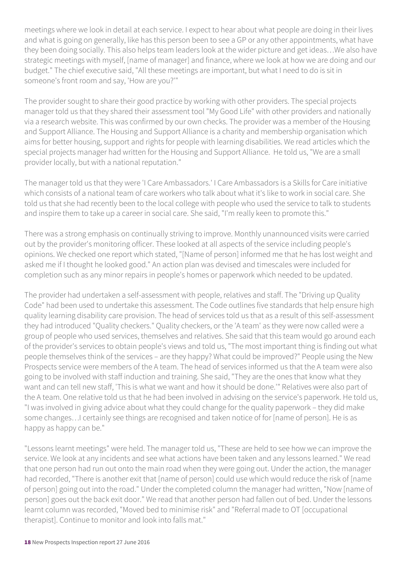meetings where we look in detail at each service. I expect to hear about what people are doing in their lives and what is going on generally, like has this person been to see a GP or any other appointments, what have they been doing socially. This also helps team leaders look at the wider picture and get ideas…We also have strategic meetings with myself, [name of manager] and finance, where we look at how we are doing and our budget." The chief executive said, "All these meetings are important, but what I need to do is sit in someone's front room and say, 'How are you?'"

The provider sought to share their good practice by working with other providers. The special projects manager told us that they shared their assessment tool "My Good Life" with other providers and nationally via a research website. This was confirmed by our own checks. The provider was a member of the Housing and Support Alliance. The Housing and Support Alliance is a charity and membership organisation which aims for better housing, support and rights for people with learning disabilities. We read articles which the special projects manager had written for the Housing and Support Alliance. He told us, "We are a small provider locally, but with a national reputation."

The manager told us that they were 'I Care Ambassadors.' I Care Ambassadors is a Skills for Care initiative which consists of a national team of care workers who talk about what it's like to work in social care. She told us that she had recently been to the local college with people who used the service to talk to students and inspire them to take up a career in social care. She said, "I'm really keen to promote this."

There was a strong emphasis on continually striving to improve. Monthly unannounced visits were carried out by the provider's monitoring officer. These looked at all aspects of the service including people's opinions. We checked one report which stated, "[Name of person] informed me that he has lost weight and asked me if I thought he looked good." An action plan was devised and timescales were included for completion such as any minor repairs in people's homes or paperwork which needed to be updated.

The provider had undertaken a self-assessment with people, relatives and staff. The "Driving up Quality Code" had been used to undertake this assessment. The Code outlines five standards that help ensure high quality learning disability care provision. The head of services told us that as a result of this self-assessment they had introduced "Quality checkers." Quality checkers, or the 'A team' as they were now called were a group of people who used services, themselves and relatives. She said that this team would go around each of the provider's services to obtain people's views and told us, "The most important thing is finding out what people themselves think of the services – are they happy? What could be improved?" People using the New Prospects service were members of the A team. The head of services informed us that the A team were also going to be involved with staff induction and training. She said, "They are the ones that know what they want and can tell new staff, 'This is what we want and how it should be done.'" Relatives were also part of the A team. One relative told us that he had been involved in advising on the service's paperwork. He told us, "I was involved in giving advice about what they could change for the quality paperwork – they did make some changes…I certainly see things are recognised and taken notice of for [name of person]. He is as happy as happy can be."

"Lessons learnt meetings" were held. The manager told us, "These are held to see how we can improve the service. We look at any incidents and see what actions have been taken and any lessons learned." We read that one person had run out onto the main road when they were going out. Under the action, the manager had recorded, "There is another exit that [name of person] could use which would reduce the risk of [name of person] going out into the road." Under the completed column the manager had written, "Now [name of person] goes out the back exit door." We read that another person had fallen out of bed. Under the lessons learnt column was recorded, "Moved bed to minimise risk" and "Referral made to OT [occupational therapist]. Continue to monitor and look into falls mat."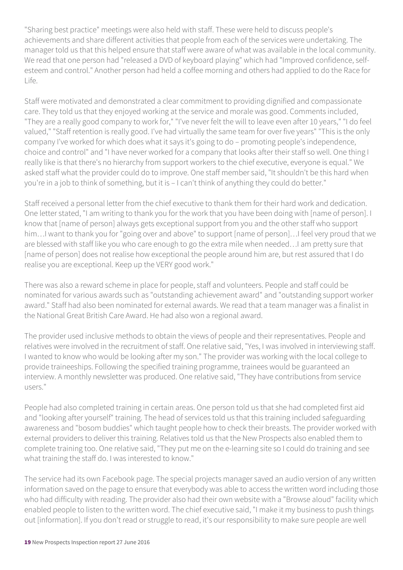"Sharing best practice" meetings were also held with staff. These were held to discuss people's achievements and share different activities that people from each of the services were undertaking. The manager told us that this helped ensure that staff were aware of what was available in the local community. We read that one person had "released a DVD of keyboard playing" which had "Improved confidence, selfesteem and control." Another person had held a coffee morning and others had applied to do the Race for  $L$ ife.

Staff were motivated and demonstrated a clear commitment to providing dignified and compassionate care. They told us that they enjoyed working at the service and morale was good. Comments included, "They are a really good company to work for," "I've never felt the will to leave even after 10 years," "I do feel valued," "Staff retention is really good. I've had virtually the same team for over five years" "This is the only company I've worked for which does what it says it's going to do – promoting people's independence, choice and control" and "I have never worked for a company that looks after their staff so well. One thing I really like is that there's no hierarchy from support workers to the chief executive, everyone is equal." We asked staff what the provider could do to improve. One staff member said, "It shouldn't be this hard when you're in a job to think of something, but it is – I can't think of anything they could do better."

Staff received a personal letter from the chief executive to thank them for their hard work and dedication. One letter stated, "I am writing to thank you for the work that you have been doing with [name of person]. I know that [name of person] always gets exceptional support from you and the other staff who support him…I want to thank you for "going over and above" to support [name of person]…I feel very proud that we are blessed with staff like you who care enough to go the extra mile when needed…I am pretty sure that [name of person] does not realise how exceptional the people around him are, but rest assured that I do realise you are exceptional. Keep up the VERY good work."

There was also a reward scheme in place for people, staff and volunteers. People and staff could be nominated for various awards such as "outstanding achievement award" and "outstanding support worker award." Staff had also been nominated for external awards. We read that a team manager was a finalist in the National Great British Care Award. He had also won a regional award.

The provider used inclusive methods to obtain the views of people and their representatives. People and relatives were involved in the recruitment of staff. One relative said, "Yes, I was involved in interviewing staff. I wanted to know who would be looking after my son." The provider was working with the local college to provide traineeships. Following the specified training programme, trainees would be guaranteed an interview. A monthly newsletter was produced. One relative said, "They have contributions from service users."

People had also completed training in certain areas. One person told us that she had completed first aid and "looking after yourself" training. The head of services told us that this training included safeguarding awareness and "bosom buddies" which taught people how to check their breasts. The provider worked with external providers to deliver this training. Relatives told us that the New Prospects also enabled them to complete training too. One relative said, "They put me on the e-learning site so I could do training and see what training the staff do. I was interested to know."

The service had its own Facebook page. The special projects manager saved an audio version of any written information saved on the page to ensure that everybody was able to access the written word including those who had difficulty with reading. The provider also had their own website with a "Browse aloud" facility which enabled people to listen to the written word. The chief executive said, "I make it my business to push things out [information]. If you don't read or struggle to read, it's our responsibility to make sure people are well